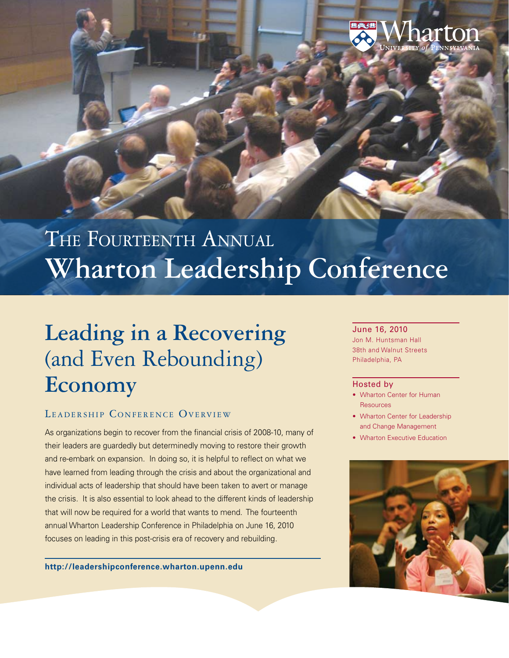

# THE FOURTEENTH ANNUAL **Wharton Leadership Conference**

# **Leading in a Recovering** (and Even Rebounding) **Economy**

# LEADERSHIP CONFERENCE OVERVIEW

As organizations begin to recover from the financial crisis of 2008-10, many of their leaders are guardedly but determinedly moving to restore their growth and re-embark on expansion. In doing so, it is helpful to reflect on what we have learned from leading through the crisis and about the organizational and individual acts of leadership that should have been taken to avert or manage the crisis. It is also essential to look ahead to the different kinds of leadership that will now be required for a world that wants to mend. The fourteenth annual Wharton Leadership Conference in Philadelphia on June 16, 2010 focuses on leading in this post-crisis era of recovery and rebuilding.

**<http://leadershipconference.wharton.upenn.edu>**

### June 16, 2010

Jon M. Huntsman Hall 38th and Walnut Streets Philadelphia, PA

#### Hosted by

- Wharton Center for Human Resources
- Wharton Center for Leadership and Change Management
- Wharton Executive Education